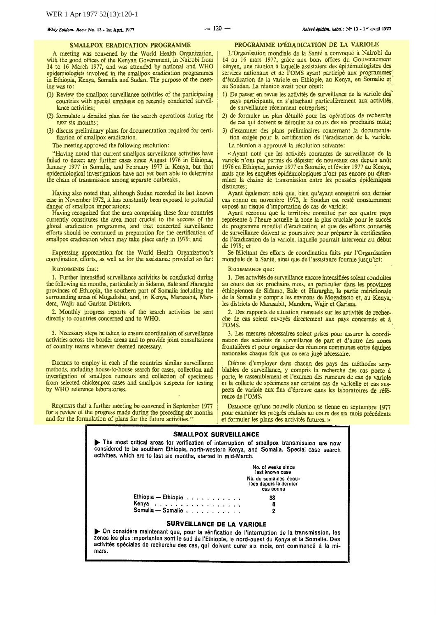## SMALLPOX ERADICATION PROGRAMME

A meeting was convened by the World Health Organization, with the good offices of the Kenyan Government, in Nairobi from 14 to 16 March 1977, and was attended by national and WHO epidemiologists involved in the smallpox eradication programmes in Ethiopia, Kenya., Somalia and Sudan. The purpose of the meet· ingwas to:

- (1) Review the smallpox surveillance activities of the participating countries with special emphasis on recently conducted surveillance activities;
- (2) formulate a detailed plan for the search operations during the next six months;
- (3) discuss preliminary plans for documentation required for certi· fication of smallpox eradication.

The meeting approved the following resolution:

"Having noted that current smallpox surveillance activities have failed to detect any further cases since August 1976 in Ethiopia, January 1977 in Somalia, and February 1977 in Kenya, but that epidemiological investigations have not yet been able to determine the cham of transmission among separate outbreaks;

Having also noted that, although Sudan recorded its last known case in November 1972, it has constantly been exposed to potential danger of smallpox importations;

Having recognized that the area comprising these four countries currently constitutes the area most crucial to the success of the global eradication programme, and that concerted surveillance efforts should be contmued m preparation for the certification of smallpox eradication which may take place early in 1979; and

Expressing appreciation for the World Health Organization's coordination efforts, as well as for the assistance provided so far:

RECOMMENDS that:

1. Further intensified surveillance activities be conducted during the following six months, particularly in Sidamo, Bale and Hararghe provinces of Ethiopia, the southern part of Somalia including the surrounding areas of Mogadishu, and, in Kenya, Marasabit, Mandera, Wajir and Garissa Districts.

2. Monthly progress reports of the search activities be sent directly to countries concerned and to WHO.

3. Necessary steps be taken to ensure coordination of surveillance activities across the border areas and to provide joint consultations of country teams whenever deemed necessary.

DEciDES to employ in each of the countries similar surveillance methods, mcluding house-to-house search for cases, collection and investigation of smallpox rumours and collection of specimens from selected chickenpox cases and smallpox suspects for testing by WHO reference laboratories.

REQUESIS that a further meeting be convened in September 1977 for a review of the progress made during the preceding six months and for the formulation of plans for the future activities.

### PROGRAMME D'ÉRADICATION DE LA VARIOLE

L 'Organisation mondiale de Ia Sante a convoque a Nairobi du 14 au 16 mars 1977, grâce aux bons offices du Gouvernement kényen, une réunion à laquelle assistaient des épidémiologistes des services nationaux et de l'OMS ayant participé aux programmes d'éradication de la variole en Ethiopie, au Kenya, en Somalie et au Soudan. La réunion avait pour objet:

- 1) De passer en revue les activités de surveillance de la variole des pays participants, en s'attachant particulièrement aux activités. de surveillance recemment entreprises;
- 2) de formuler un plan détaillé pour les opérations de recherche de cas qui doivent se derouler au cours des six prochains mois;
- 3) d'examiner des plans préliminaires concernant la documentation exigee pour Ia certification de )'eradication de Ia variole. La réunion a approuvé la résolution suivante:

« Ayant noté que les activités courantes de surveillance de la variole n'ont pas permis de dépister de nouveaux cas depuis août 1976 en Ethiopie, janvier 1977 en Somalie, et fevrier 1977 au Kenya, mais que les enquêtes épidémiologiques n'ont pas encore pu déterminer Ia chaine de transmission entre les poussees epidemiques distinctes :

Ayant également noté que, bien qu'ayant enregistré son dernier cas connu en novembre 1972, le Soudan est reste constamment expose au risque d'importation de cas de variole;

Ayant reconnu que le territoire constitué par ces quatre pays représente à l'heure actuelle la zone la plus cruciale pour le succès du programme mondial d'eradication, et que des efforts concertes de surveillance doivent se poursuivre pour preparer Ia certification de l'éradication de la variole, laquelle pourrait intervenir au début de 1979; et

Se félicitant des efforts de coordination faits par l'Organisation mondiale de Ia Sante, ainsi que de !'aSSIStance fournie jusqu'ici:

#### REcoMMANDE que:

1. Des activites de surveillance encore intensifiees soient conduites au cours des six prochains mois, en particulier dans les provinces ethiopiennes de Sidamo, Bale et Hararghe, Ia partie meridionale de Ia Somalie *y* compris les environs de Mogadiscio et, au Kenya.,· les districts de Marasabit, Mandera, Wajir et Garissa.

2. Des rapports de situation mensuels sur les activites de recher· che de cas soient envoyés directement aux pays concernés et à l'OMS. l'OMS.

3. Les mesures necessaires scient prises pour assurer Ia coordination des activités de surveillance de part et d'autre des zones frontalieres et pour organiser des reunions communes entre equipes nationales chaque fois que ce sera juge necessaire.

Décine d'employer dans chacun des pays des méthodes semblables de surveillance, y compris Ia recherche des cas porte a porte, le rassemblement et l'examen des rumeurs de cas de variole et la collecte de spécimens sur certains cas de varicelle et cas suspects de variole aux fins d 'epreuve dans les laboratoires de refe- rence de !'OMS.

DEMANDE qu'une nouvelle réunion se tienne en septembre 1977 pour examiner les progrès réalisés au cours des six mois précédents et formuler les plans des activités futures. »

# **SMALLPOX SURVEILLANCE**  ... The most critical areas for verification of interruption of smallpox transmission are now considered to be southern Ethiopia, north-western Kenya, and Somalia. Special case search activities, which are to last six months, started in mid-March. Ethiopia - Ethiopia . . . . . . . . . . . Kenya . . . . . . . . . . . . . . . . . Somalia - Somalie . . . . . . . . . . . No. of weeks since last known case Nb. de semaines ecou- hles depuis le dernier cas connu 33 8 2 **SURVEILLANCE DE LA VARIOLE**  ... On considere maintenant que, pour Ia verification de !'interruption de !a transmission, les zones les plus importantes sont le sud de l'Ethiopie, le nord-ouest du Kenya et la Somalie. Des activités spéciales de recherche des cas, qui doivent durer six mois, ont commencé à la mi-<br>mars.